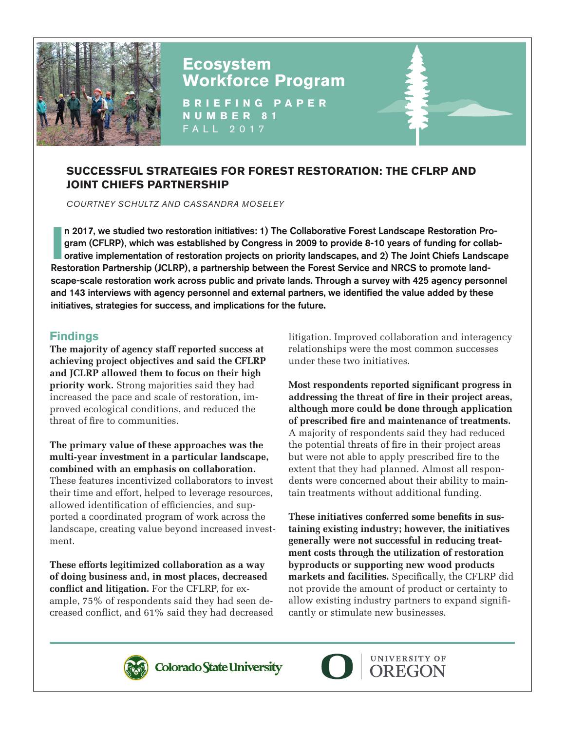

# **Ecosystem Workforce Program**

**BRIEFING PAPER NUMBER 81** FALL 2017

# **SUCCESSFUL STRATEGIES FOR FOREST RESTORATION: THE CFLRP AND JOINT CHIEFS PARTNERSHIP**

*COURTNEY SCHULTZ AND CASSANDRA MOSELEY*

**I n** 2<br>**gra**<br>**Decter** n 2017, we studied two restoration initiatives: 1) The Collaborative Forest Landscape Restoration Program (CFLRP), which was established by Congress in 2009 to provide 8-10 years of funding for collaborative implementation of restoration projects on priority landscapes, and 2) The Joint Chiefs Landscape Restoration Partnership (JCLRP), a partnership between the Forest Service and NRCS to promote landscape-scale restoration work across public and private lands. Through a survey with 425 agency personnel and 143 interviews with agency personnel and external partners, we identified the value added by these initiatives, strategies for success, and implications for the future**.**

## **Findings**

**The majority of agency staff reported success at achieving project objectives and said the CFLRP and JCLRP allowed them to focus on their high priority work.** Strong majorities said they had increased the pace and scale of restoration, improved ecological conditions, and reduced the threat of fire to communities.

**The primary value of these approaches was the multi-year investment in a particular landscape, combined with an emphasis on collaboration.** These features incentivized collaborators to invest their time and effort, helped to leverage resources, allowed identification of efficiencies, and supported a coordinated program of work across the landscape, creating value beyond increased investment.

**These efforts legitimized collaboration as a way of doing business and, in most places, decreased conflict and litigation.** For the CFLRP, for example, 75% of respondents said they had seen decreased conflict, and 61% said they had decreased litigation. Improved collaboration and interagency relationships were the most common successes under these two initiatives.

**Most respondents reported significant progress in addressing the threat of fire in their project areas, although more could be done through application of prescribed fire and maintenance of treatments.** A majority of respondents said they had reduced the potential threats of fire in their project areas but were not able to apply prescribed fire to the extent that they had planned. Almost all respondents were concerned about their ability to maintain treatments without additional funding.

**These initiatives conferred some benefits in sustaining existing industry; however, the initiatives generally were not successful in reducing treatment costs through the utilization of restoration byproducts or supporting new wood products markets and facilities.** Specifically, the CFLRP did not provide the amount of product or certainty to allow existing industry partners to expand significantly or stimulate new businesses.



**Colorado State University**